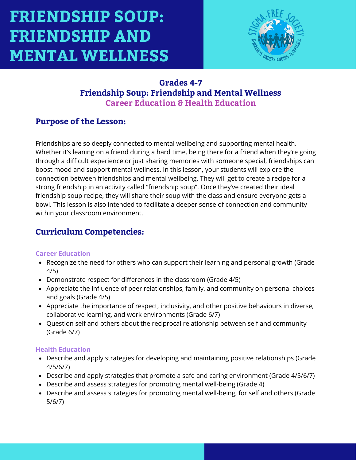

### **Grades 4-7 Friendship Soup: Friendship and Mental Wellness Career Education & Health Education**

### **Purpose of the Lesson:**

Friendships are so deeply connected to mental wellbeing and supporting mental health. Whether it's leaning on a friend during a hard time, being there for a friend when they're going through a difficult experience or just sharing memories with someone special, friendships can boost mood and support mental wellness. In this lesson, your students will explore the connection between friendships and mental wellbeing. They will get to create a recipe for a strong friendship in an activity called "friendship soup". Once they've created their ideal friendship soup recipe, they will share their soup with the class and ensure everyone gets a bowl. This lesson is also intended to facilitate a deeper sense of connection and community within your classroom environment.

## **Curriculum Competencies:**

#### **Career Education**

- Recognize the need for others who can support their learning and personal growth (Grade 4/5)
- Demonstrate respect for differences in the classroom (Grade 4/5)
- Appreciate the influence of peer relationships, family, and community on personal choices and goals (Grade 4/5)
- Appreciate the importance of respect, inclusivity, and other positive behaviours in diverse, collaborative learning, and work environments (Grade 6/7)
- Question self and others about the reciprocal relationship between self and community (Grade 6/7)

#### **Health Education**

- Describe and apply strategies for developing and maintaining positive relationships (Grade 4/5/6/7)
- Describe and apply strategies that promote a safe and caring environment (Grade 4/5/6/7)
- Describe and assess strategies for promoting mental well-being (Grade 4)
- Describe and assess strategies for promoting mental well-being, for self and others (Grade 5/6/7)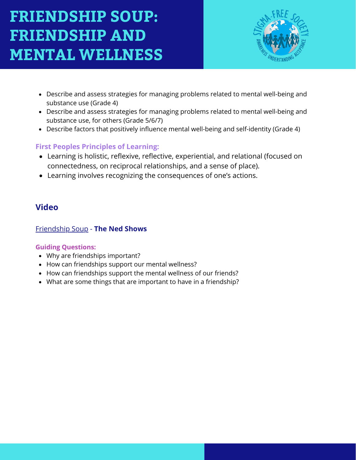

- Describe and assess strategies for managing problems related to mental well-being and substance use (Grade 4)
- Describe and assess strategies for managing problems related to mental well-being and substance use, for others (Grade 5/6/7)
- Describe factors that positively influence mental well-being and self-identity (Grade 4)

### **First Peoples Principles of Learning:**

- Learning is holistic, reflexive, reflective, experiential, and relational (focused on connectedness, on reciprocal relationships, and a sense of place).
- Learning involves recognizing the consequences of one's actions.

### **Video**

#### [Friendship Soup](https://www.youtube.com/watch?v=2wCbwpnIJsA) [-](https://www.youtube.com/watch?v=MbmLNr89L-A) **[The Ne](https://www.youtube.com/watch?v=MbmLNr89L-A)d Shows**

#### **Guiding Questions:**

- Why are friendships important?
- How can friendships support our mental wellness?
- How can friendships support the mental wellness of our friends?
- What are some things that are important to have in a friendship?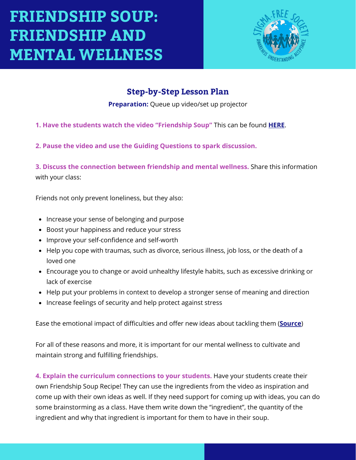

## **Step-by-Step Lesson Plan**

**Preparation:** Queue up video/set up projector

- **1. Have the students watch the video "Friendship Soup"** This can be found **[HERE](https://www.youtube.com/watch?v=H7w7yXkJTu0)**.
- **2. Pause the video and use the Guiding Questions to spark discussion.**

**3. Discuss the connection between friendship and mental wellness.** Share this information with your class:

Friends not only prevent loneliness, but they also:

- Increase your sense of belonging and purpose
- Boost your happiness and reduce your stress
- Improve your self-confidence and self-worth
- Help you cope with traumas, such as divorce, serious illness, job loss, or the death of a loved one
- Encourage you to change or avoid unhealthy lifestyle habits, such as excessive drinking or lack of exercise
- Help put your problems in context to develop a stronger sense of meaning and direction
- Increase feelings of security and help protect against stress

Ease the emotional impact of difficulties and offer new ideas about tackling them (**[Source](https://www.webmd.com/mental-health/psychological-benefits-of-friendship)**)

For all of these reasons and more, it is important for our mental wellness to cultivate and maintain strong and fulfilling friendships.

**4. Explain the curriculum connections to your students.** Have your students create their own Friendship Soup Recipe! They can use the ingredients from the video as inspiration and come up with their own ideas as well. If they need support for coming up with ideas, you can do some brainstorming as a class. Have them write down the "ingredient", the quantity of the ingredient and why that ingredient is important for them to have in their soup.